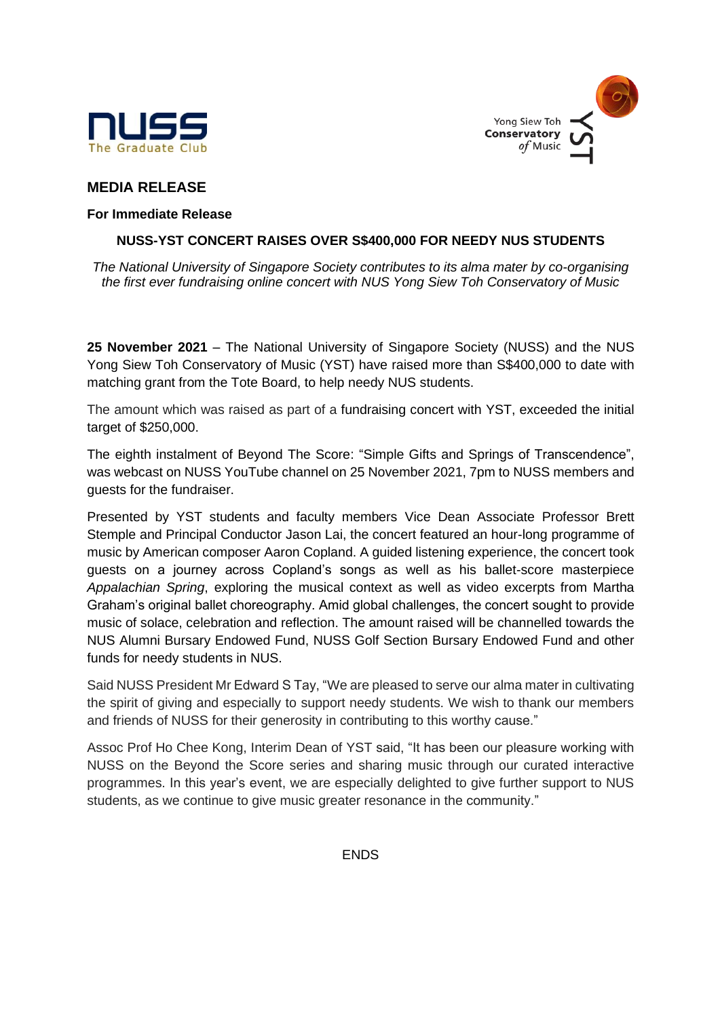



# **MEDIA RELEASE**

### **For Immediate Release**

## **NUSS-YST CONCERT RAISES OVER S\$400,000 FOR NEEDY NUS STUDENTS**

*The National University of Singapore Society contributes to its alma mater by co-organising the first ever fundraising online concert with NUS Yong Siew Toh Conservatory of Music*

**25 November 2021** – The National University of Singapore Society (NUSS) and the NUS Yong Siew Toh Conservatory of Music (YST) have raised more than S\$400,000 to date with matching grant from the Tote Board, to help needy NUS students.

The amount which was raised as part of a fundraising concert with YST, exceeded the initial target of \$250,000.

The eighth instalment of Beyond The Score: "Simple Gifts and Springs of Transcendence", was webcast on NUSS YouTube channel on 25 November 2021, 7pm to NUSS members and guests for the fundraiser.

Presented by YST students and faculty members Vice Dean Associate Professor Brett Stemple and Principal Conductor Jason Lai, the concert featured an hour-long programme of music by American composer Aaron Copland. A guided listening experience, the concert took guests on a journey across Copland's songs as well as his ballet-score masterpiece *Appalachian Spring*, exploring the musical context as well as video excerpts from Martha Graham's original ballet choreography. Amid global challenges, the concert sought to provide music of solace, celebration and reflection. The amount raised will be channelled towards the NUS Alumni Bursary Endowed Fund, NUSS Golf Section Bursary Endowed Fund and other funds for needy students in NUS.

Said NUSS President Mr Edward S Tay, "We are pleased to serve our alma mater in cultivating the spirit of giving and especially to support needy students. We wish to thank our members and friends of NUSS for their generosity in contributing to this worthy cause."

Assoc Prof Ho Chee Kong, Interim Dean of YST said, "It has been our pleasure working with NUSS on the Beyond the Score series and sharing music through our curated interactive programmes. In this year's event, we are especially delighted to give further support to NUS students, as we continue to give music greater resonance in the community."

**ENDS**